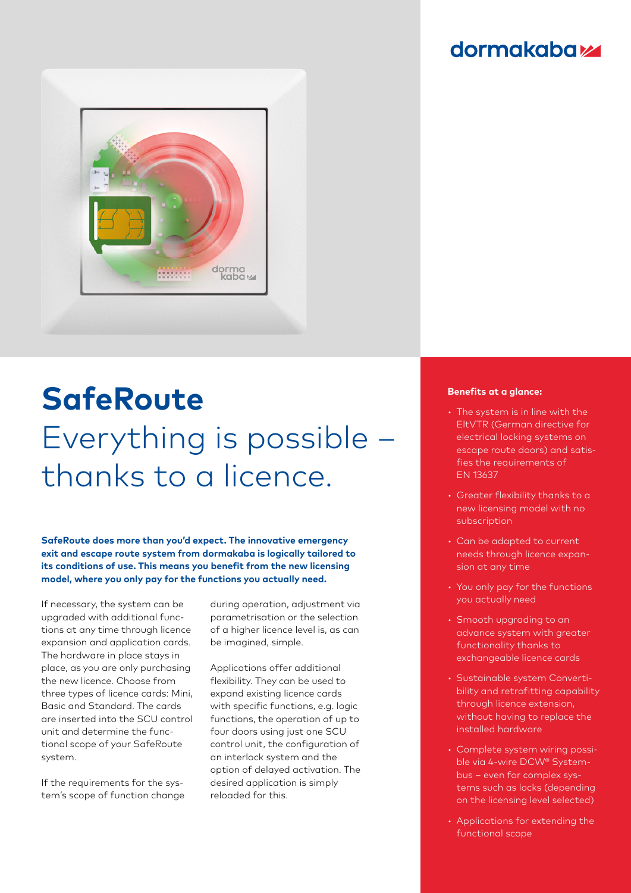## **dormakabazz**



## **SafeRoute** Everything is possible – thanks to a licence.

**SafeRoute does more than you'd expect. The innovative emergency exit and escape route system from dormakaba is logically tailored to its conditions of use. This means you benefit from the new licensing model, where you only pay for the functions you actually need.**

If necessary, the system can be upgraded with additional functions at any time through licence expansion and application cards. The hardware in place stays in place, as you are only purchasing the new licence. Choose from three types of licence cards: Mini, Basic and Standard. The cards are inserted into the SCU control unit and determine the functional scope of your SafeRoute system.

If the requirements for the system's scope of function change

during operation, adjustment via parametrisation or the selection of a higher licence level is, as can be imagined, simple.

Applications offer additional flexibility. They can be used to expand existing licence cards with specific functions, e.g. logic functions, the operation of up to four doors using just one SCU control unit, the configuration of an interlock system and the option of delayed activation. The desired application is simply reloaded for this.

## **Benefits at a glance:**

- The system is in line with the EltVTR (German directive for electrical locking systems on escape route doors) and satisfies the requirements of EN 13637
- Greater flexibility thanks to a new licensing model with no subscription
- Can be adapted to current needs through licence expansion at any time
- You only pay for the functions you actually need
- Smooth upgrading to an advance system with greater functionality thanks to exchangeable licence cards
- Sustainable system Convertibility and retrofitting capability through licence extension, without having to replace the installed hardware
- Complete system wiring possible via 4-wire DCW® Systembus – even for complex systems such as locks (depending on the licensing level selected)
- Applications for extending the functional scope